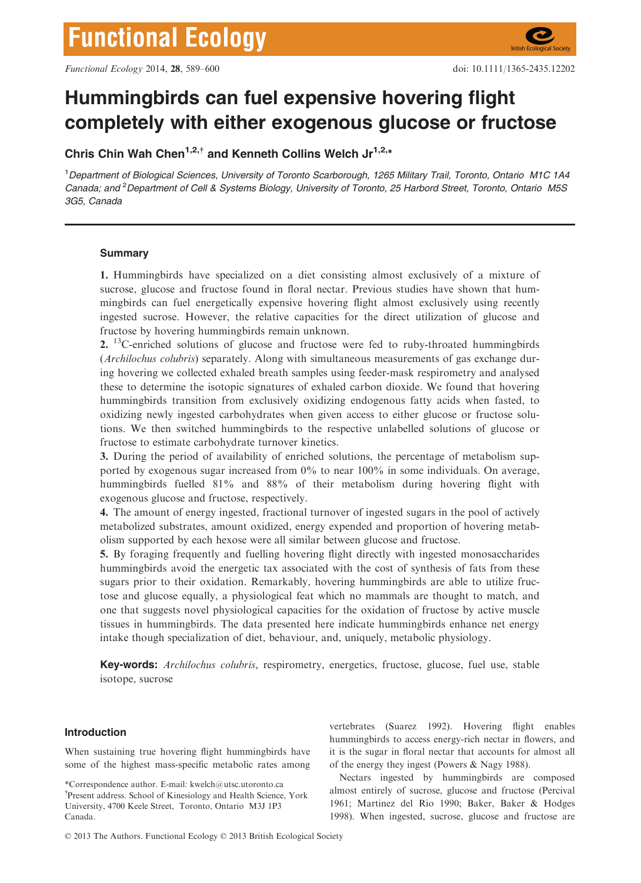# Hummingbirds can fuel expensive hovering flight completely with either exogenous glucose or fructose

Chris Chin Wah Chen<sup>1,2,†</sup> and Kenneth Collins Welch Jr<sup>1,2,\*</sup>

<sup>1</sup>Department of Biological Sciences, University of Toronto Scarborough, 1265 Military Trail, Toronto, Ontario M1C 1A4 Canada; and <sup>2</sup>Department of Cell & Systems Biology, University of Toronto, 25 Harbord Street, Toronto, Ontario M5S 3G5, Canada

# **Summary**

1. Hummingbirds have specialized on a diet consisting almost exclusively of a mixture of sucrose, glucose and fructose found in floral nectar. Previous studies have shown that hummingbirds can fuel energetically expensive hovering flight almost exclusively using recently ingested sucrose. However, the relative capacities for the direct utilization of glucose and fructose by hovering hummingbirds remain unknown.

2.  $^{13}$ C-enriched solutions of glucose and fructose were fed to ruby-throated hummingbirds (Archilochus colubris) separately. Along with simultaneous measurements of gas exchange during hovering we collected exhaled breath samples using feeder-mask respirometry and analysed these to determine the isotopic signatures of exhaled carbon dioxide. We found that hovering hummingbirds transition from exclusively oxidizing endogenous fatty acids when fasted, to oxidizing newly ingested carbohydrates when given access to either glucose or fructose solutions. We then switched hummingbirds to the respective unlabelled solutions of glucose or fructose to estimate carbohydrate turnover kinetics.

3. During the period of availability of enriched solutions, the percentage of metabolism supported by exogenous sugar increased from 0% to near 100% in some individuals. On average, hummingbirds fuelled 81% and 88% of their metabolism during hovering flight with exogenous glucose and fructose, respectively.

4. The amount of energy ingested, fractional turnover of ingested sugars in the pool of actively metabolized substrates, amount oxidized, energy expended and proportion of hovering metabolism supported by each hexose were all similar between glucose and fructose.

5. By foraging frequently and fuelling hovering flight directly with ingested monosaccharides hummingbirds avoid the energetic tax associated with the cost of synthesis of fats from these sugars prior to their oxidation. Remarkably, hovering hummingbirds are able to utilize fructose and glucose equally, a physiological feat which no mammals are thought to match, and one that suggests novel physiological capacities for the oxidation of fructose by active muscle tissues in hummingbirds. The data presented here indicate hummingbirds enhance net energy intake though specialization of diet, behaviour, and, uniquely, metabolic physiology.

Key-words: Archilochus colubris, respirometry, energetics, fructose, glucose, fuel use, stable isotope, sucrose

# Introduction

When sustaining true hovering flight hummingbirds have some of the highest mass-specific metabolic rates among

\*Correspondence author. E-mail: kwelch@utsc.utoronto.ca † Present address. School of Kinesiology and Health Science, York University, 4700 Keele Street, Toronto, Ontario M3J 1P3 Canada.

vertebrates (Suarez 1992). Hovering flight enables hummingbirds to access energy-rich nectar in flowers, and it is the sugar in floral nectar that accounts for almost all of the energy they ingest (Powers & Nagy 1988).

Nectars ingested by hummingbirds are composed almost entirely of sucrose, glucose and fructose (Percival 1961; Martinez del Rio 1990; Baker, Baker & Hodges 1998). When ingested, sucrose, glucose and fructose are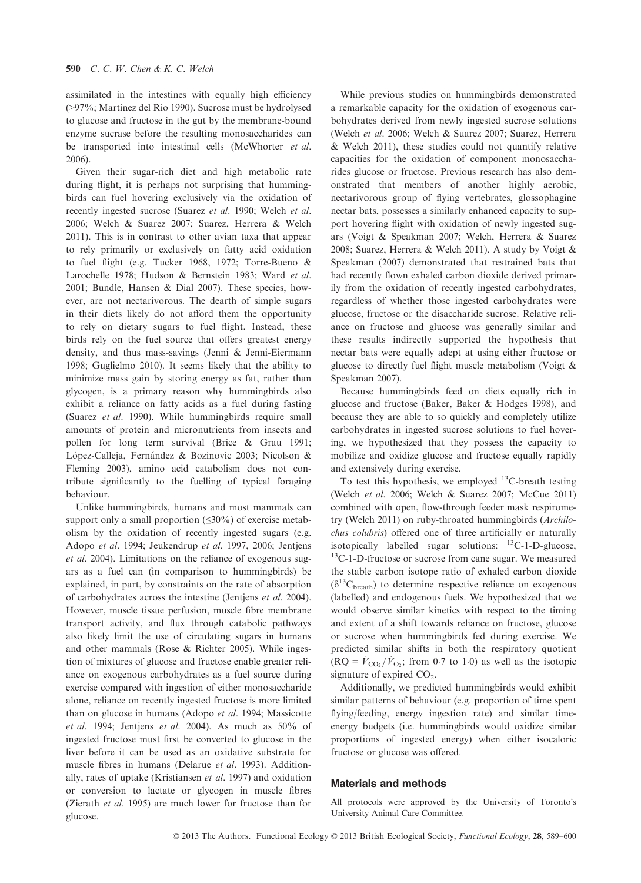assimilated in the intestines with equally high efficiency (>97%; Martinez del Rio 1990). Sucrose must be hydrolysed to glucose and fructose in the gut by the membrane-bound enzyme sucrase before the resulting monosaccharides can be transported into intestinal cells (McWhorter et al. 2006).

Given their sugar-rich diet and high metabolic rate during flight, it is perhaps not surprising that hummingbirds can fuel hovering exclusively via the oxidation of recently ingested sucrose (Suarez et al. 1990; Welch et al. 2006; Welch & Suarez 2007; Suarez, Herrera & Welch 2011). This is in contrast to other avian taxa that appear to rely primarily or exclusively on fatty acid oxidation to fuel flight (e.g. Tucker 1968, 1972; Torre-Bueno & Larochelle 1978; Hudson & Bernstein 1983; Ward et al. 2001; Bundle, Hansen & Dial 2007). These species, however, are not nectarivorous. The dearth of simple sugars in their diets likely do not afford them the opportunity to rely on dietary sugars to fuel flight. Instead, these birds rely on the fuel source that offers greatest energy density, and thus mass-savings (Jenni & Jenni-Eiermann 1998; Guglielmo 2010). It seems likely that the ability to minimize mass gain by storing energy as fat, rather than glycogen, is a primary reason why hummingbirds also exhibit a reliance on fatty acids as a fuel during fasting (Suarez et al. 1990). While hummingbirds require small amounts of protein and micronutrients from insects and pollen for long term survival (Brice & Grau 1991; López-Calleja, Fernández & Bozinovic 2003; Nicolson & Fleming 2003), amino acid catabolism does not contribute significantly to the fuelling of typical foraging behaviour.

Unlike hummingbirds, humans and most mammals can support only a small proportion  $(\leq 30\%)$  of exercise metabolism by the oxidation of recently ingested sugars (e.g. Adopo et al. 1994; Jeukendrup et al. 1997, 2006; Jentjens et al. 2004). Limitations on the reliance of exogenous sugars as a fuel can (in comparison to hummingbirds) be explained, in part, by constraints on the rate of absorption of carbohydrates across the intestine (Jentjens et al. 2004). However, muscle tissue perfusion, muscle fibre membrane transport activity, and flux through catabolic pathways also likely limit the use of circulating sugars in humans and other mammals (Rose & Richter 2005). While ingestion of mixtures of glucose and fructose enable greater reliance on exogenous carbohydrates as a fuel source during exercise compared with ingestion of either monosaccharide alone, reliance on recently ingested fructose is more limited than on glucose in humans (Adopo et al. 1994; Massicotte et al. 1994; Jentjens et al. 2004). As much as 50% of ingested fructose must first be converted to glucose in the liver before it can be used as an oxidative substrate for muscle fibres in humans (Delarue et al. 1993). Additionally, rates of uptake (Kristiansen et al. 1997) and oxidation or conversion to lactate or glycogen in muscle fibres (Zierath et al. 1995) are much lower for fructose than for glucose.

While previous studies on hummingbirds demonstrated a remarkable capacity for the oxidation of exogenous carbohydrates derived from newly ingested sucrose solutions (Welch et al. 2006; Welch & Suarez 2007; Suarez, Herrera & Welch 2011), these studies could not quantify relative capacities for the oxidation of component monosaccharides glucose or fructose. Previous research has also demonstrated that members of another highly aerobic, nectarivorous group of flying vertebrates, glossophagine nectar bats, possesses a similarly enhanced capacity to support hovering flight with oxidation of newly ingested sugars (Voigt & Speakman 2007; Welch, Herrera & Suarez 2008; Suarez, Herrera & Welch 2011). A study by Voigt & Speakman (2007) demonstrated that restrained bats that had recently flown exhaled carbon dioxide derived primarily from the oxidation of recently ingested carbohydrates, regardless of whether those ingested carbohydrates were glucose, fructose or the disaccharide sucrose. Relative reliance on fructose and glucose was generally similar and these results indirectly supported the hypothesis that nectar bats were equally adept at using either fructose or glucose to directly fuel flight muscle metabolism (Voigt & Speakman 2007).

Because hummingbirds feed on diets equally rich in glucose and fructose (Baker, Baker & Hodges 1998), and because they are able to so quickly and completely utilize carbohydrates in ingested sucrose solutions to fuel hovering, we hypothesized that they possess the capacity to mobilize and oxidize glucose and fructose equally rapidly and extensively during exercise.

To test this hypothesis, we employed  $^{13}$ C-breath testing (Welch et al. 2006; Welch & Suarez 2007; McCue 2011) combined with open, flow-through feeder mask respirometry (Welch 2011) on ruby-throated hummingbirds (Archilochus colubris) offered one of three artificially or naturally isotopically labelled sugar solutions:  $^{13}$ C-1-D-glucose, <sup>13</sup>C-1-D-fructose or sucrose from cane sugar. We measured the stable carbon isotope ratio of exhaled carbon dioxide  $(\delta^{13}C_{\text{breath}})$  to determine respective reliance on exogenous (labelled) and endogenous fuels. We hypothesized that we would observe similar kinetics with respect to the timing and extent of a shift towards reliance on fructose, glucose or sucrose when hummingbirds fed during exercise. We predicted similar shifts in both the respiratory quotient  $(RQ = V_{CO_2}/V_{O_2};$  from 0.7 to 1.0) as well as the isotopic<br>cignature of evolved CO signature of expired  $CO<sub>2</sub>$ .

Additionally, we predicted hummingbirds would exhibit similar patterns of behaviour (e.g. proportion of time spent flying/feeding, energy ingestion rate) and similar timeenergy budgets (i.e. hummingbirds would oxidize similar proportions of ingested energy) when either isocaloric fructose or glucose was offered.

## Materials and methods

All protocols were approved by the University of Toronto's University Animal Care Committee.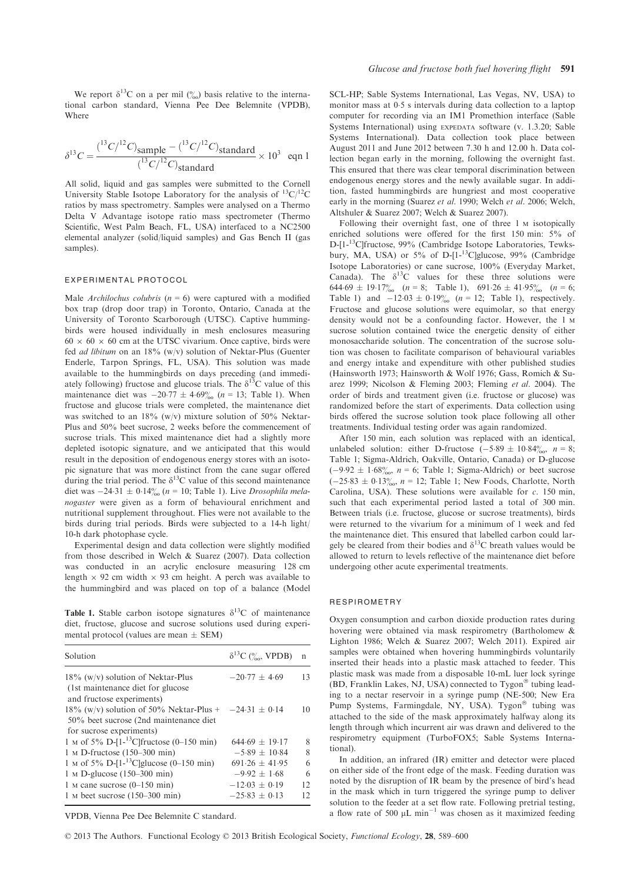We report  $\delta^{13}$ C on a per mil  $\binom{0}{0}$  basis relative to the international carbon standard, Vienna Pee Dee Belemnite (VPDB), Where

$$
\delta^{13}C = \frac{\binom{13}{C} \binom{12}{2 \text{sample}} - \binom{13}{C} \binom{12}{2 \text{standard}}}{\binom{13}{C} \binom{12}{2 \text{standard}}} \times 10^3 \text{ eqn 1}
$$

All solid, liquid and gas samples were submitted to the Cornell University Stable Isotope Laboratory for the analysis of  ${}^{13}C/{}^{12}C$ ratios by mass spectrometry. Samples were analysed on a Thermo Delta V Advantage isotope ratio mass spectrometer (Thermo Scientific, West Palm Beach, FL, USA) interfaced to a NC2500 elemental analyzer (solid/liquid samples) and Gas Bench II (gas samples).

# EXPERIMENTAL PROTOCOL

Male Archilochus colubris ( $n = 6$ ) were captured with a modified box trap (drop door trap) in Toronto, Ontario, Canada at the University of Toronto Scarborough (UTSC). Captive hummingbirds were housed individually in mesh enclosures measuring  $60 \times 60 \times 60$  cm at the UTSC vivarium. Once captive, birds were fed ad libitum on an 18% (w/v) solution of Nektar-Plus (Guenter Enderle, Tarpon Springs, FL, USA). This solution was made available to the hummingbirds on days preceding (and immediately following) fructose and glucose trials. The  $\delta^{13}$ C value of this maintenance diet was  $-20.77 \pm 4.69\%_{00}$  (n = 13; Table 1). When fructose and glucose trials were completed, the maintenance diet was switched to an 18% (w/v) mixture solution of 50% Nektar-Plus and 50% beet sucrose, 2 weeks before the commencement of sucrose trials. This mixed maintenance diet had a slightly more depleted isotopic signature, and we anticipated that this would result in the deposition of endogenous energy stores with an isotopic signature that was more distinct from the cane sugar offered during the trial period. The  $\delta^{13}$ C value of this second maintenance diet was  $-24.31 \pm 0.14\%$  (n = 10; Table 1). Live *Drosophila mela*nogaster were given as a form of behavioural enrichment and nutritional supplement throughout. Flies were not available to the birds during trial periods. Birds were subjected to a 14-h light/ 10-h dark photophase cycle.

Experimental design and data collection were slightly modified from those described in Welch & Suarez (2007). Data collection was conducted in an acrylic enclosure measuring 128 cm length  $\times$  92 cm width  $\times$  93 cm height. A perch was available to the hummingbird and was placed on top of a balance (Model

Table 1. Stable carbon isotope signatures  $\delta^{13}C$  of maintenance diet, fructose, glucose and sucrose solutions used during experimental protocol (values are mean  $\pm$  SEM)

| Solution                                                                                                                                       | $\delta^{13}C$ (%, VPDB) | $\mathsf{n}$ |
|------------------------------------------------------------------------------------------------------------------------------------------------|--------------------------|--------------|
| $18\%$ (w/v) solution of Nektar-Plus<br>(1st maintenance diet for glucose)                                                                     | $-20.77 + 4.69$          | 13           |
| and fructose experiments)<br>$18\%$ (w/v) solution of 50% Nektar-Plus +<br>50% beet sucrose (2nd maintenance diet)<br>for sucrose experiments) | $-24.31 + 0.14$          | 10           |
| 1 M of 5% D-[1- <sup>13</sup> C]fructose (0–150 min)                                                                                           | $644.69 + 19.17$         | 8            |
| $1 \text{ M}$ D-fructose (150–300 min)                                                                                                         | $-5.89 + 10.84$          | 8            |
| 1 M of 5% D-[1- <sup>13</sup> C]glucose (0–150 min)                                                                                            | $691.26 + 41.95$         | 6            |
| $1 \text{ M}$ D-glucose (150–300 min)                                                                                                          | $-9.92 + 1.68$           | 6            |
| 1 M cane sucrose $(0-150 \text{ min})$                                                                                                         | $-12.03 \pm 0.19$        | 12           |
| 1 M beet sucrose $(150-300 \text{ min})$                                                                                                       | $-25.83 + 0.13$          | 12           |

SCL-HP; Sable Systems International, Las Vegas, NV, USA) to monitor mass at 0.5 s intervals during data collection to a laptop computer for recording via an IM1 Promethion interface (Sable Systems International) using EXPEDATA software (v. 1.3.20; Sable Systems International). Data collection took place between August 2011 and June 2012 between 7.30 h and 12.00 h. Data collection began early in the morning, following the overnight fast. This ensured that there was clear temporal discrimination between endogenous energy stores and the newly available sugar. In addition, fasted hummingbirds are hungriest and most cooperative early in the morning (Suarez et al. 1990; Welch et al. 2006; Welch, Altshuler & Suarez 2007; Welch & Suarez 2007).

Following their overnight fast, one of three 1 M isotopically enriched solutions were offered for the first 150 min: 5% of D-[1-13C]fructose, 99% (Cambridge Isotope Laboratories, Tewksbury, MA, USA) or 5% of D-[1-13C]glucose, 99% (Cambridge Isotope Laboratories) or cane sucrose, 100% (Everyday Market, Canada). The  $\delta^{13}$ C values for these three solutions were 644.69  $\pm$  19.17<sup>o</sup><sub>00</sub> (*n* = 8; Table 1), 691.26  $\pm$  41.95<sup>o</sup><sub>00</sub> (*n* = 6; Table 1) and  $-12.03 \pm 0.19\%$  (n = 12; Table 1), respectively. Fructose and glucose solutions were equimolar, so that energy density would not be a confounding factor. However, the 1 <sup>M</sup> sucrose solution contained twice the energetic density of either monosaccharide solution. The concentration of the sucrose solution was chosen to facilitate comparison of behavioural variables and energy intake and expenditure with other published studies (Hainsworth 1973; Hainsworth & Wolf 1976; Gass, Romich & Suarez 1999; Nicolson & Fleming 2003; Fleming et al. 2004). The order of birds and treatment given (i.e. fructose or glucose) was randomized before the start of experiments. Data collection using birds offered the sucrose solution took place following all other treatments. Individual testing order was again randomized.

After 150 min, each solution was replaced with an identical, unlabeled solution: either D-fructose  $(-5.89 \pm 10.84\%_{00}, n = 8;$ Table 1; Sigma-Aldrich, Oakville, Ontario, Canada) or D-glucose  $(-9.92 \pm 1.68\%_{00}, n = 6;$  Table 1; Sigma-Aldrich) or beet sucrose  $(-25.83 \pm 0.13\%_{00}, n = 12;$  Table 1; New Foods, Charlotte, North Carolina, USA). These solutions were available for  $c$ . 150 min, such that each experimental period lasted a total of 300 min. Between trials (i.e. fructose, glucose or sucrose treatments), birds were returned to the vivarium for a minimum of 1 week and fed the maintenance diet. This ensured that labelled carbon could largely be cleared from their bodies and  $\delta^{13}$ C breath values would be allowed to return to levels reflective of the maintenance diet before undergoing other acute experimental treatments.

#### RESPIROMETRY

Oxygen consumption and carbon dioxide production rates during hovering were obtained via mask respirometry (Bartholomew & Lighton 1986; Welch & Suarez 2007; Welch 2011). Expired air samples were obtained when hovering hummingbirds voluntarily inserted their heads into a plastic mask attached to feeder. This plastic mask was made from a disposable 10-mL luer lock syringe (BD, Franklin Lakes, NJ, USA) connected to  $Tygon^@$  tubing leading to a nectar reservoir in a syringe pump (NE-500; New Era Pump Systems, Farmingdale, NY, USA). Tygon<sup>®</sup> tubing was attached to the side of the mask approximately halfway along its length through which incurrent air was drawn and delivered to the respirometry equipment (TurboFOX5; Sable Systems International).

In addition, an infrared (IR) emitter and detector were placed on either side of the front edge of the mask. Feeding duration was noted by the disruption of IR beam by the presence of bird's head in the mask which in turn triggered the syringe pump to deliver solution to the feeder at a set flow rate. Following pretrial testing, a flow rate of 500  $\mu$ L min<sup>-1</sup> was chosen as it maximized feeding

VPDB, Vienna Pee Dee Belemnite C standard.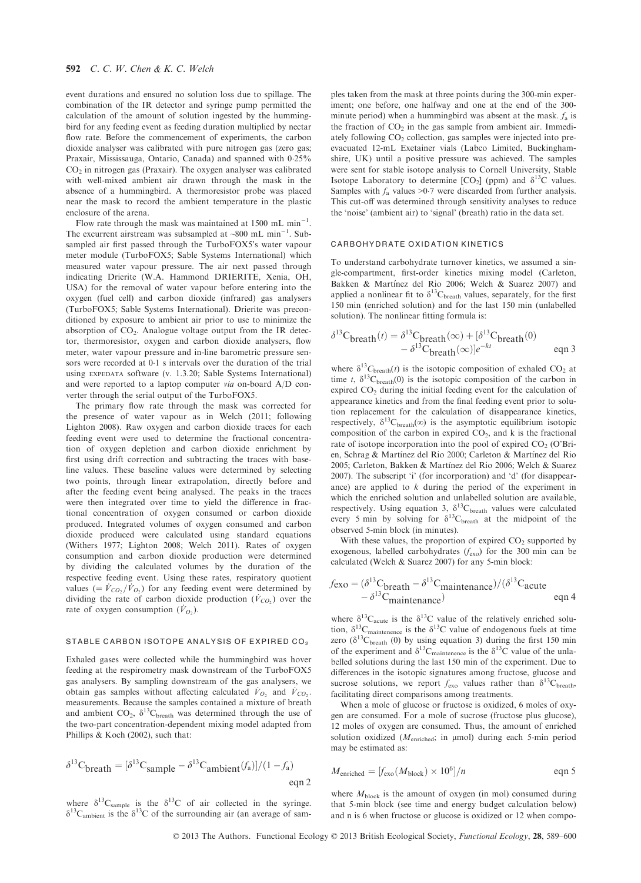event durations and ensured no solution loss due to spillage. The combination of the IR detector and syringe pump permitted the calculation of the amount of solution ingested by the hummingbird for any feeding event as feeding duration multiplied by nectar flow rate. Before the commencement of experiments, the carbon dioxide analyser was calibrated with pure nitrogen gas (zero gas; Praxair, Mississauga, Ontario, Canada) and spanned with 025%  $CO<sub>2</sub>$  in nitrogen gas (Praxair). The oxygen analyser was calibrated with well-mixed ambient air drawn through the mask in the absence of a hummingbird. A thermoresistor probe was placed near the mask to record the ambient temperature in the plastic enclosure of the arena.

Flow rate through the mask was maintained at  $1500 \text{ mL min}^{-1}$ . The excurrent airstream was subsampled at  $\sim 800$  mL min<sup>-1</sup>. Subsampled air first passed through the TurboFOX5's water vapour meter module (TurboFOX5; Sable Systems International) which measured water vapour pressure. The air next passed through indicating Drierite (W.A. Hammond DRIERITE, Xenia, OH, USA) for the removal of water vapour before entering into the oxygen (fuel cell) and carbon dioxide (infrared) gas analysers (TurboFOX5; Sable Systems International). Drierite was preconditioned by exposure to ambient air prior to use to minimize the absorption of  $CO<sub>2</sub>$ . Analogue voltage output from the IR detector, thermoresistor, oxygen and carbon dioxide analysers, flow meter, water vapour pressure and in-line barometric pressure sensors were recorded at 01 s intervals over the duration of the trial using EXPEDATA software (v. 1.3.20; Sable Systems International) and were reported to a laptop computer via on-board A/D converter through the serial output of the TurboFOX5.

The primary flow rate through the mask was corrected for the presence of water vapour as in Welch (2011; following Lighton 2008). Raw oxygen and carbon dioxide traces for each feeding event were used to determine the fractional concentration of oxygen depletion and carbon dioxide enrichment by first using drift correction and subtracting the traces with baseline values. These baseline values were determined by selecting two points, through linear extrapolation, directly before and after the feeding event being analysed. The peaks in the traces were then integrated over time to yield the difference in fractional concentration of oxygen consumed or carbon dioxide produced. Integrated volumes of oxygen consumed and carbon dioxide produced were calculated using standard equations (Withers 1977; Lighton 2008; Welch 2011). Rates of oxygen consumption and carbon dioxide production were determined by dividing the calculated volumes by the duration of the respective feeding event. Using these rates, respiratory quotient values ( $= \dot{V}_{CO_2} / \dot{V}_{O_2}$ ) for any feeding event were determined by<br>dividing the rate of carbon dioxide production ( $\dot{V}_{CO}$ ) over the dividing the rate of carbon dioxide production  $(\dot{V}_{CO_2})$  over the rate of oxygen consumption  $(\dot{V}_{O_2})$ .

#### STABLE CARBON ISOTOPE ANALYSIS OF EXPIRED CO<sub>2</sub>

Exhaled gases were collected while the hummingbird was hover feeding at the respirometry mask downstream of the TurboFOX5 gas analysers. By sampling downstream of the gas analysers, we obtain gas samples without affecting calculated  $\dot{V}_{O_2}$  and  $\dot{V}_{CO_2}$ . measurements. Because the samples contained a mixture of breath and ambient CO<sub>2</sub>,  $\delta^{13}C_{breath}$  was determined through the use of the two-part concentration-dependent mixing model adapted from Phillips & Koch (2002), such that:

$$
\delta^{13}C_{\text{breath}} = [\delta^{13}C_{\text{sample}} - \delta^{13}C_{\text{ambient}}(f_a)]/(1 - f_a)
$$
  
eqn 2

where  $\delta^{13}C_{\text{sample}}$  is the  $\delta^{13}C$  of air collected in the syringe.  $\delta^{13}$ C<sub>ambient</sub> is the  $\delta^{13}$ C of the surrounding air (an average of sam-

ples taken from the mask at three points during the 300-min experiment; one before, one halfway and one at the end of the 300 minute period) when a hummingbird was absent at the mask.  $f_a$  is the fraction of  $CO<sub>2</sub>$  in the gas sample from ambient air. Immediately following  $CO<sub>2</sub>$  collection, gas samples were injected into preevacuated 12-mL Exetainer vials (Labco Limited, Buckinghamshire, UK) until a positive pressure was achieved. The samples were sent for stable isotope analysis to Cornell University, Stable Isotope Laboratory to determine  $[CO_2]$  (ppm) and  $\delta^{13}$ C values. Samples with  $f_a$  values >0.7 were discarded from further analysis. This cut-off was determined through sensitivity analyses to reduce the 'noise' (ambient air) to 'signal' (breath) ratio in the data set.

#### CARBOHYDRATE OXIDATION KINETICS

To understand carbohydrate turnover kinetics, we assumed a single-compartment, first-order kinetics mixing model (Carleton, Bakken & Martínez del Rio 2006; Welch & Suarez 2007) and applied a nonlinear fit to  $\delta^{13}C_{\text{breath}}$  values, separately, for the first 150 min (enriched solution) and for the last 150 min (unlabelled solution). The nonlinear fitting formula is:

$$
\delta^{13}\text{C}_{\text{breath}}(t) = \delta^{13}\text{C}_{\text{breath}}(\infty) + [\delta^{13}\text{C}_{\text{breath}}(0)]
$$
  
- 
$$
\delta^{13}\text{C}_{\text{breath}}(\infty)|e^{-kt}
$$
 eqn 3

where  $\delta^{13}C_{\text{breath}}(t)$  is the isotopic composition of exhaled CO<sub>2</sub> at time t,  $\delta^{13}C_{breath}(0)$  is the isotopic composition of the carbon in expired  $CO<sub>2</sub>$  during the initial feeding event for the calculation of appearance kinetics and from the final feeding event prior to solution replacement for the calculation of disappearance kinetics, respectively,  $\delta^{13}C_{breath}(\infty)$  is the asymptotic equilibrium isotopic composition of the carbon in expired  $CO<sub>2</sub>$ , and k is the fractional rate of isotope incorporation into the pool of expired  $CO<sub>2</sub>$  (O'Brien, Schrag & Martínez del Rio 2000; Carleton & Martínez del Rio 2005; Carleton, Bakken & Martínez del Rio 2006; Welch & Suarez 2007). The subscript 'i' (for incorporation) and 'd' (for disappearance) are applied to  $k$  during the period of the experiment in which the enriched solution and unlabelled solution are available, respectively. Using equation 3,  $\delta^{13}C_{breath}$  values were calculated every 5 min by solving for  $\delta^{13}C_{breath}$  at the midpoint of the observed 5-min block (in minutes).

With these values, the proportion of expired  $CO<sub>2</sub>$  supported by exogenous, labelled carbohydrates  $(f_{\text{exo}})$  for the 300 min can be calculated (Welch & Suarez 2007) for any 5-min block:

$$
f_{\rm exo} = (\delta^{13}C_{\rm breath} - \delta^{13}C_{\rm maintenance})/(\delta^{13}C_{\rm acute} - \delta^{13}C_{\rm maintenance})
$$
eqn 4

where  $\delta^{13}C_{acute}$  is the  $\delta^{13}C$  value of the relatively enriched solution,  $\delta^{13}$ C<sub>maintenence</sub> is the  $\delta^{13}$ C value of endogenous fuels at time zero ( $\delta^{13}C_{\text{breath}}$  (0) by using equation 3) during the first 150 min of the experiment and  $\delta^{13}$ C<sub>maintenence</sub> is the  $\delta^{13}$ C value of the unlabelled solutions during the last 150 min of the experiment. Due to differences in the isotopic signatures among fructose, glucose and sucrose solutions, we report  $f_{\text{exo}}$  values rather than  $\delta^{13}C_{\text{breath}}$ , facilitating direct comparisons among treatments.

When a mole of glucose or fructose is oxidized, 6 moles of oxygen are consumed. For a mole of sucrose (fructose plus glucose), 12 moles of oxygen are consumed. Thus, the amount of enriched solution oxidized ( $M_{\text{enriched}}$ ; in µmol) during each 5-min period may be estimated as:

$$
M_{\text{enriched}} = [f_{\text{exo}}(M_{\text{block}}) \times 10^6]/n \qquad \text{eqn 5}
$$

where  $M<sub>block</sub>$  is the amount of oxygen (in mol) consumed during that 5-min block (see time and energy budget calculation below) and n is 6 when fructose or glucose is oxidized or 12 when compo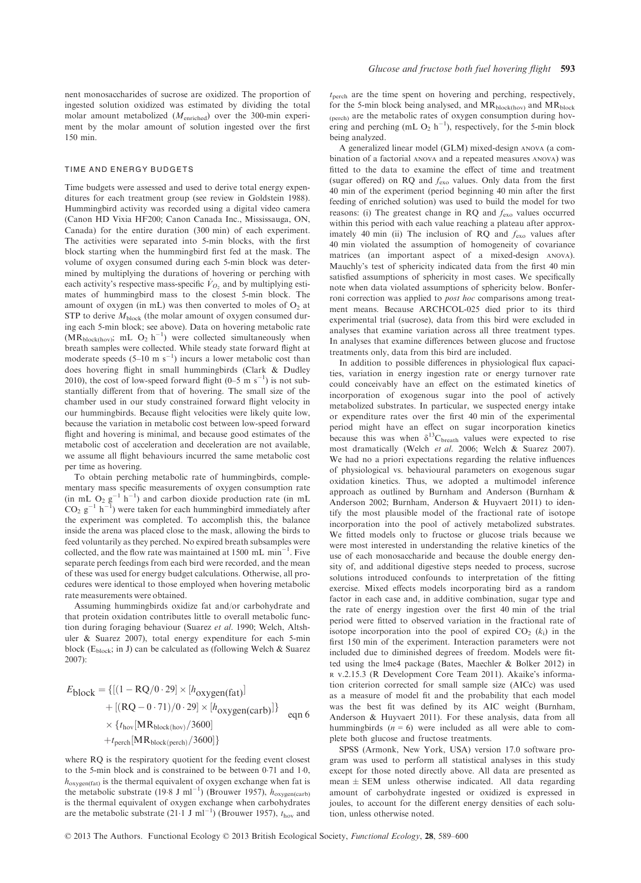nent monosaccharides of sucrose are oxidized. The proportion of ingested solution oxidized was estimated by dividing the total molar amount metabolized (Menriched) over the 300-min experiment by the molar amount of solution ingested over the first 150 min.

#### TIME AND ENERGY BUDGETS

Time budgets were assessed and used to derive total energy expenditures for each treatment group (see review in Goldstein 1988). Hummingbird activity was recorded using a digital video camera (Canon HD Vixia HF200; Canon Canada Inc., Mississauga, ON, Canada) for the entire duration (300 min) of each experiment. The activities were separated into 5-min blocks, with the first block starting when the hummingbird first fed at the mask. The volume of oxygen consumed during each 5-min block was determined by multiplying the durations of hovering or perching with each activity's respective mass-specific  $\dot{V}_{O_2}$  and by multiplying estimates of hummingbird mass to the closest 5-min block. The amount of oxygen (in mL) was then converted to moles of  $O<sub>2</sub>$  at STP to derive  $M_{\text{block}}$  (the molar amount of oxygen consumed during each 5-min block; see above). Data on hovering metabolic rate  $(MR_{block(hov)}; mL O_2 h^{-1})$  were collected simultaneously when breath samples were collected. While steady state forward flight at moderate speeds  $(5{\text -}10 \text{ m s}^{-1})$  incurs a lower metabolic cost than does hovering flight in small hummingbirds (Clark & Dudley 2010), the cost of low-speed forward flight  $(0-5 \text{ m s}^{-1})$  is not substantially different from that of hovering. The small size of the chamber used in our study constrained forward flight velocity in our hummingbirds. Because flight velocities were likely quite low, because the variation in metabolic cost between low-speed forward flight and hovering is minimal, and because good estimates of the metabolic cost of acceleration and deceleration are not available, we assume all flight behaviours incurred the same metabolic cost per time as hovering.

To obtain perching metabolic rate of hummingbirds, complementary mass specific measurements of oxygen consumption rate (in mL  $O_2$   $g^{-1}$  h<sup>-1</sup>) and carbon dioxide production rate (in mL  $CO_2$   $g^{-1}$  h<sup>-1</sup>) were taken for each hummingbird immediately after the experiment was completed. To accomplish this, the balance inside the arena was placed close to the mask, allowing the birds to feed voluntarily as they perched. No expired breath subsamples were collected, and the flow rate was maintained at  $1500 \text{ mL min}^{-1}$ . Five separate perch feedings from each bird were recorded, and the mean of these was used for energy budget calculations. Otherwise, all procedures were identical to those employed when hovering metabolic rate measurements were obtained.

Assuming hummingbirds oxidize fat and/or carbohydrate and that protein oxidation contributes little to overall metabolic function during foraging behaviour (Suarez et al. 1990; Welch, Altshuler & Suarez 2007), total energy expenditure for each 5-min block ( $E_{block}$ ; in J) can be calculated as (following Welch & Suarez 2007):

$$
E_{\text{block}} = \{[(1 - \text{RQ}/0.29] \times [h_{\text{oxygen(fat)}}] + [(R\text{Q} - 0.71)/0.29] \times [h_{\text{oxygen(carb)}}]\} + [(R\text{Q} - 0.71)/0.29] \times [h_{\text{oxygen(carb)}}]\} \quad \text{eqn 6}
$$

$$
\times \{t_{\text{hov}}[\text{MR}_{\text{block(pech)}}/3600]\} + t_{\text{perch}}[\text{MR}_{\text{block(pech)}}/3600]\}
$$

where RQ is the respiratory quotient for the feeding event closest to the 5-min block and is constrained to be between 0.71 and 1.0,  $h_{\text{oxygen(fat)}}$  is the thermal equivalent of oxygen exchange when fat is the metabolic substrate  $(19.8 \text{ J m}^{-1})$  (Brouwer 1957),  $h_{\text{oxygen(carb)}}$ is the thermal equivalent of oxygen exchange when carbohydrates are the metabolic substrate (21.1 J ml<sup>-1</sup>) (Brouwer 1957),  $t_{\text{hov}}$  and  $t<sub>perch</sub>$  are the time spent on hovering and perching, respectively, for the 5-min block being analysed, and  $MR_{block(hov)}$  and  $MR_{block}$ (perch) are the metabolic rates of oxygen consumption during hovering and perching (mL  $O_2$  h<sup>-1</sup>), respectively, for the 5-min block being analyzed.

A generalized linear model (GLM) mixed-design ANOVA (a combination of a factorial ANOVA and a repeated measures ANOVA) was fitted to the data to examine the effect of time and treatment (sugar offered) on RQ and  $f_{\text{exo}}$  values. Only data from the first 40 min of the experiment (period beginning 40 min after the first feeding of enriched solution) was used to build the model for two reasons: (i) The greatest change in RQ and  $f_{\text{exo}}$  values occurred within this period with each value reaching a plateau after approximately 40 min (ii) The inclusion of RQ and  $f_{\text{exo}}$  values after 40 min violated the assumption of homogeneity of covariance matrices (an important aspect of a mixed-design ANOVA). Mauchly's test of sphericity indicated data from the first 40 min satisfied assumptions of sphericity in most cases. We specifically note when data violated assumptions of sphericity below. Bonferroni correction was applied to post hoc comparisons among treatment means. Because ARCHCOL-025 died prior to its third experimental trial (sucrose), data from this bird were excluded in analyses that examine variation across all three treatment types. In analyses that examine differences between glucose and fructose treatments only, data from this bird are included.

In addition to possible differences in physiological flux capacities, variation in energy ingestion rate or energy turnover rate could conceivably have an effect on the estimated kinetics of incorporation of exogenous sugar into the pool of actively metabolized substrates. In particular, we suspected energy intake or expenditure rates over the first 40 min of the experimental period might have an effect on sugar incorporation kinetics because this was when  $\delta^{13}C_{\text{breath}}$  values were expected to rise most dramatically (Welch et al. 2006; Welch & Suarez 2007). We had no a priori expectations regarding the relative influences of physiological vs. behavioural parameters on exogenous sugar oxidation kinetics. Thus, we adopted a multimodel inference approach as outlined by Burnham and Anderson (Burnham & Anderson 2002; Burnham, Anderson & Huyvaert 2011) to identify the most plausible model of the fractional rate of isotope incorporation into the pool of actively metabolized substrates. We fitted models only to fructose or glucose trials because we were most interested in understanding the relative kinetics of the use of each monosaccharide and because the double energy density of, and additional digestive steps needed to process, sucrose solutions introduced confounds to interpretation of the fitting exercise. Mixed effects models incorporating bird as a random factor in each case and, in additive combination, sugar type and the rate of energy ingestion over the first 40 min of the trial period were fitted to observed variation in the fractional rate of isotope incorporation into the pool of expired  $CO<sub>2</sub>$  ( $k<sub>i</sub>$ ) in the first 150 min of the experiment. Interaction parameters were not included due to diminished degrees of freedom. Models were fitted using the lme4 package (Bates, Maechler & Bolker 2012) in <sup>R</sup> v.2.15.3 (R Development Core Team 2011). Akaike's information criterion corrected for small sample size (AICc) was used as a measure of model fit and the probability that each model was the best fit was defined by its AIC weight (Burnham, Anderson & Huyvaert 2011). For these analysis, data from all hummingbirds  $(n = 6)$  were included as all were able to complete both glucose and fructose treatments.

SPSS (Armonk, New York, USA) version 17.0 software program was used to perform all statistical analyses in this study except for those noted directly above. All data are presented as mean  $\pm$  SEM unless otherwise indicated. All data regarding amount of carbohydrate ingested or oxidized is expressed in joules, to account for the different energy densities of each solution, unless otherwise noted.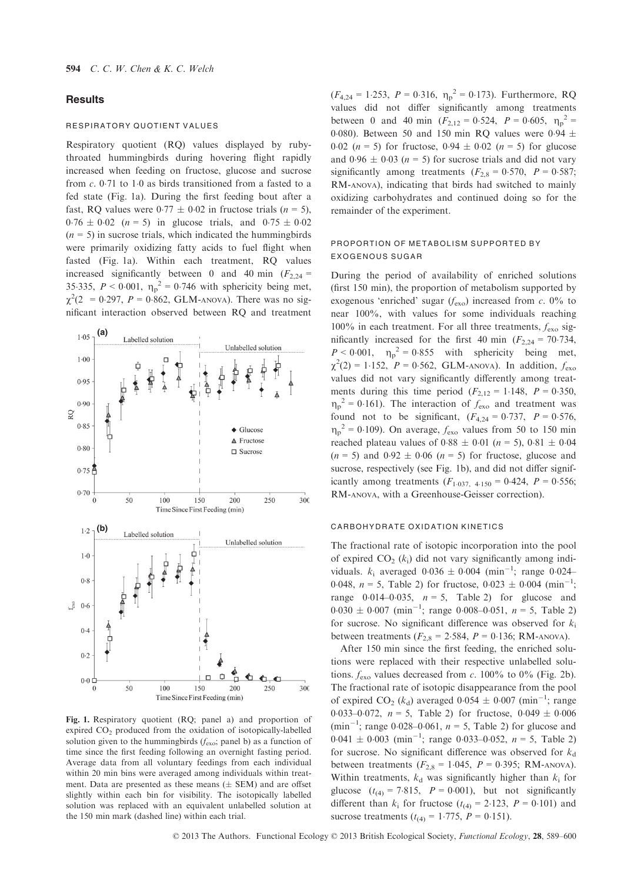# **Results**

### RESPIRATORY QUOTIENT VALUES

Respiratory quotient (RQ) values displayed by rubythroated hummingbirds during hovering flight rapidly increased when feeding on fructose, glucose and sucrose from  $c$ . 0.71 to 1.0 as birds transitioned from a fasted to a fed state (Fig. 1a). During the first feeding bout after a fast, RQ values were  $0.77 \pm 0.02$  in fructose trials (*n* = 5),  $0.76 \pm 0.02$  (n = 5) in glucose trials, and  $0.75 \pm 0.02$  $(n = 5)$  in sucrose trials, which indicated the humming birds were primarily oxidizing fatty acids to fuel flight when fasted (Fig. 1a). Within each treatment, RQ values increased significantly between 0 and 40 min ( $F_{2,24}$  = 35.335,  $P < 0.001$ ,  $\eta_p^2 = 0.746$  with sphericity being met,<br> $\alpha^2(2) = 0.297$ ,  $P = 0.862$  GLM ANOVA). There was no sign  $\chi^2$ (2 = 0.297, P = 0.862, GLM-ANOVA). There was no significant interaction observed between PO and treatment nificant interaction observed between RQ and treatment



Fig. 1. Respiratory quotient (RQ; panel a) and proportion of expired  $CO<sub>2</sub>$  produced from the oxidation of isotopically-labelled solution given to the hummingbirds  $(f_{\text{exo}};$  panel b) as a function of time since the first feeding following an overnight fasting period. Average data from all voluntary feedings from each individual within 20 min bins were averaged among individuals within treatment. Data are presented as these means  $(\pm$  SEM) and are offset slightly within each bin for visibility. The isotopically labelled solution was replaced with an equivalent unlabelled solution at the 150 min mark (dashed line) within each trial.

 $(F_{4,24} = 1.253, P = 0.316, \eta_p^2 = 0.173)$ . Furthermore, RQ<br>values did not differ significantly among treatments values did not differ significantly among treatments between 0 and 40 min  $(F_{2,12} = 0.524, P = 0.605, \eta_p^2 = 0.080)$ . Between 50 and 150 min BO values were 0.94 + 0.080). Between 50 and 150 min RQ values were 0.94  $\pm$ 0.02 (*n* = 5) for fructose, 0.94  $\pm$  0.02 (*n* = 5) for glucose and  $0.96 \pm 0.03$  (n = 5) for sucrose trials and did not vary significantly among treatments  $(F_{2,8} = 0.570, P = 0.587;$ RM-ANOVA), indicating that birds had switched to mainly oxidizing carbohydrates and continued doing so for the remainder of the experiment.

## PROPORTION OF METABOLISM SUPPORTED BY EXOGENOUS SUGAR

During the period of availability of enriched solutions (first 150 min), the proportion of metabolism supported by exogenous 'enriched' sugar  $(f_{\text{exo}})$  increased from c. 0% to near 100%, with values for some individuals reaching 100% in each treatment. For all three treatments,  $f_{\text{exo}}$  significantly increased for the first 40 min  $(F_{2,24} = 70.734,$  $P < 0.001$ ,  $\eta_p^2 = 0.855$  with sphericity being met,<br> $\alpha^2(2) = 1.152$   $P = 0.562$  GIM anoval In addition f  $\chi^2(2) = 1.152$ ,  $P = 0.562$ , GLM-ANOVA). In addition,  $f_{\text{exc}}$ values did not vary significantly differently among treatments during this time period  $(F_{2,12} = 1.148, P = 0.350,$  $\eta_p^2 = 0.161$ ). The interaction of  $f_{\text{exo}}$  and treatment was found not to be significant,  $(F_{4,24} = 0.737, P = 0.576,$  $\eta_p^2$  = 0.109). On average,  $f_{\text{exo}}$  values from 50 to 150 min<br>reached plateau values of 0.88 + 0.01 (n = 5), 0.81 + 0.04 reached plateau values of  $0.88 \pm 0.01$  (n = 5),  $0.81 \pm 0.04$  $(n = 5)$  and  $0.92 \pm 0.06$   $(n = 5)$  for fructose, glucose and sucrose, respectively (see Fig. 1b), and did not differ significantly among treatments  $(F_{1,037, 4\cdot 150} = 0.424, P = 0.556;$ RM-ANOVA, with a Greenhouse-Geisser correction).

#### CARBOHYDRATE OXIDATION KINETICS

The fractional rate of isotopic incorporation into the pool of expired  $CO<sub>2</sub>$  (k<sub>i</sub>) did not vary significantly among individuals.  $k_i$  averaged  $0.036 \pm 0.004$  (min<sup>-1</sup>; range  $0.024-0.004$  (min<sup>-1</sup>) 0.048,  $n = 5$ , Table 2) for fructose, 0.023  $\pm$  0.004 (min<sup>-1</sup>) range  $0.014-0.035$ ,  $n = 5$ , Table 2) for glucose and  $0.030 \pm 0.007$  (min<sup>-1</sup>; range 0.008-0.051,  $n = 5$ , Table 2) for sucrose. No significant difference was observed for  $k_i$ between treatments ( $F_{2,8} = 2.584$ ,  $P = 0.136$ ; RM-ANOVA).

After 150 min since the first feeding, the enriched solutions were replaced with their respective unlabelled solutions.  $f_{\rm exo}$  values decreased from c. 100% to 0% (Fig. 2b). The fractional rate of isotopic disappearance from the pool of expired  $CO_2$  (k<sub>d</sub>) averaged  $0.054 \pm 0.007$  (min<sup>-1</sup>; range<br>0.033, 0.072,  $n = 5$ . Table 2) for fructose, 0.040 + 0.006 0.033–0.072,  $n = 5$ , Table 2) for fructose, 0.049  $\pm$  0.006  $(\text{min}^{-1}; \text{ range } 0.028-0.061, n = 5, \text{ Table 2})$  for glucose and  $0.041 + 0.003$  (min<sup>-1</sup>) range  $0.033$  0.052  $n = 5$ . Table 2)  $0.041 \pm 0.003$  (min<sup>-1</sup>; range 0.033-0.052,  $n = 5$ , Table 2)<br>for suggestes, No significant difference was observed for k for sucrose. No significant difference was observed for  $k_d$ between treatments ( $F_{2,8} = 1.045$ ,  $P = 0.395$ ; RM-ANOVA). Within treatments,  $k_d$  was significantly higher than  $k_i$  for glucose  $(t_{(4)} = 7.815, P = 0.001)$ , but not significantly different than  $k_i$  for fructose ( $t_{(4)} = 2.123$ ,  $P = 0.101$ ) and sucrose treatments ( $t_{(4)} = 1.775$ ,  $P = 0.151$ ).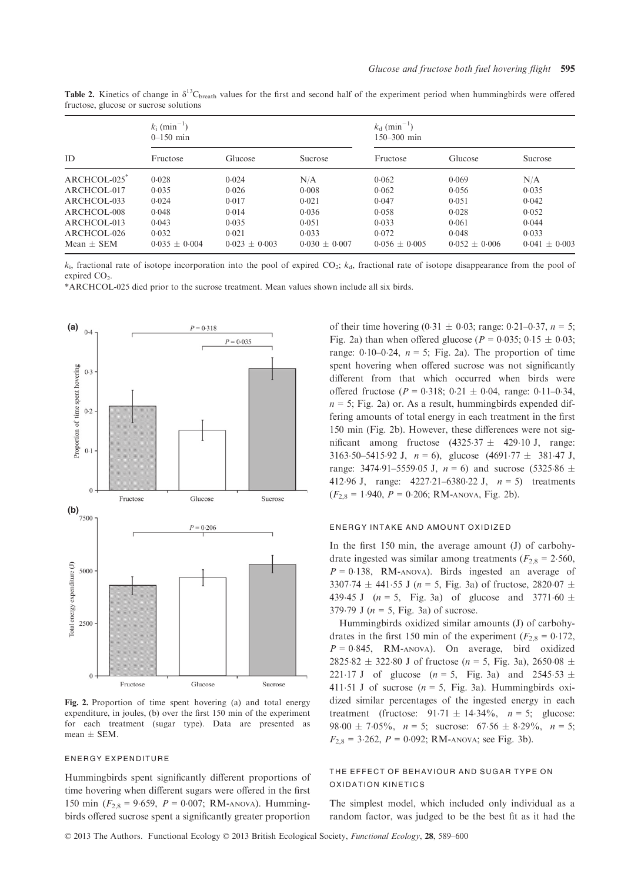| ID             | $k_i$ (min <sup>-1</sup> )<br>$0 - 150$ min |                 |                   | $k_{\rm d}$ (min <sup>-1</sup> )<br>$150 - 300$ min |                 |                   |
|----------------|---------------------------------------------|-----------------|-------------------|-----------------------------------------------------|-----------------|-------------------|
|                | Fructose                                    | Glucose         | Sucrose           | Fructose                                            | Glucose         | Sucrose           |
| $ARCHCOL-025"$ | 0.028                                       | 0.024           | N/A               | 0.062                                               | 0.069           | N/A               |
| ARCHCOL-017    | 0.035                                       | 0.026           | 0.008             | 0.062                                               | 0.056           | 0.035             |
| ARCHCOL-033    | 0.024                                       | 0.017           | 0.021             | 0.047                                               | 0.051           | 0.042             |
| ARCHCOL-008    | 0.048                                       | 0.014           | 0.036             | 0.058                                               | 0.028           | 0.052             |
| ARCHCOL-013    | 0.043                                       | 0.035           | 0.051             | 0.033                                               | 0.061           | 0.044             |
| ARCHCOL-026    | 0.032                                       | 0.021           | 0.033             | 0.072                                               | 0.048           | 0.033             |
| $Mean + SEM$   | $0.035 \pm 0.004$                           | $0.023 + 0.003$ | $0.030 \pm 0.007$ | $0.056 + 0.005$                                     | $0.052 + 0.006$ | $0.041 \pm 0.003$ |

**Table 2.** Kinetics of change in  $\delta^{13}$ C<sub>breath</sub> values for the first and second half of the experiment period when hummingbirds were offered fructose, glucose or sucrose solutions

 $k_i$ , fractional rate of isotope incorporation into the pool of expired CO<sub>2</sub>;  $k_d$ , fractional rate of isotope disappearance from the pool of expired CO<sub>2</sub>

\*ARCHCOL-025 died prior to the sucrose treatment. Mean values shown include all six birds.



Fig. 2. Proportion of time spent hovering (a) and total energy expenditure, in joules, (b) over the first 150 min of the experiment for each treatment (sugar type). Data are presented as mean  $\pm$  SEM.

#### ENERGY EXPENDITURE

Hummingbirds spent significantly different proportions of time hovering when different sugars were offered in the first 150 min ( $F_{2,8}$  = 9.659,  $P = 0.007$ ; RM-ANOVA). Hummingbirds offered sucrose spent a significantly greater proportion

of their time hovering (0.31  $\pm$  0.03; range: 0.21–0.37, n = 5; Fig. 2a) than when offered glucose ( $P = 0.035$ ;  $0.15 \pm 0.03$ ; range:  $0.10-0.24$ ,  $n = 5$ ; Fig. 2a). The proportion of time spent hovering when offered sucrose was not significantly different from that which occurred when birds were offered fructose ( $P = 0.318$ ;  $0.21 \pm 0.04$ , range: 0.11–0.34,  $n = 5$ ; Fig. 2a) or. As a result, hummingbirds expended differing amounts of total energy in each treatment in the first 150 min (Fig. 2b). However, these differences were not significant among fructose  $(4325.37 \pm 429.10 \text{ J}, \text{range})$ : 3163-50–5415-92 J,  $n = 6$ ), glucose (4691-77  $\pm$  381-47 J, range: 3474-91–5559-05 J,  $n = 6$ ) and sucrose (5325-86  $\pm$ 412.96 J, range:  $4227.21 - 6380.22$  J,  $n = 5$ ) treatments  $(F_{2,8} = 1.940, P = 0.206; RM\text{-}ANOVA, Fig. 2b).$ 

#### ENERGY INTAKE AND AMOUNT OXIDIZED

In the first 150 min, the average amount (J) of carbohydrate ingested was similar among treatments ( $F_{2,8} = 2.560$ ,  $P = 0.138$ , RM-ANOVA). Birds ingested an average of 3307.74  $\pm$  441.55 J (n = 5, Fig. 3a) of fructose, 2820.07  $\pm$ 439.45 J  $(n = 5,$  Fig. 3a) of glucose and 3771.60  $\pm$ 379.79 J ( $n = 5$ , Fig. 3a) of sucrose.

Hummingbirds oxidized similar amounts (J) of carbohydrates in the first 150 min of the experiment ( $F_{2,8} = 0.172$ ,  $P = 0.845$ , RM-ANOVA). On average, bird oxidized 2825.82  $\pm$  322.80 J of fructose (n = 5, Fig. 3a), 2650.08  $\pm$ 221.17 J of glucose  $(n = 5, \text{ Fig. 3a})$  and 2545.53  $\pm$ 411.51 J of sucrose ( $n = 5$ , Fig. 3a). Hummingbirds oxidized similar percentages of the ingested energy in each treatment (fructose:  $91.71 \pm 14.34\%$ ,  $n = 5$ ; glucose: 98.00  $\pm$  7.05%, n = 5; sucrose: 67.56  $\pm$  8.29%, n = 5;  $F_{2,8} = 3.262$ ,  $P = 0.092$ ; RM-ANOVA; see Fig. 3b).

# THE EFFECT OF BEHAVIOUR AND SUGAR TYPE ON OXIDATION KINETICS

The simplest model, which included only individual as a random factor, was judged to be the best fit as it had the

© 2013 The Authors. Functional Ecology © 2013 British Ecological Society, *Functional Ecology*, 28, 589–600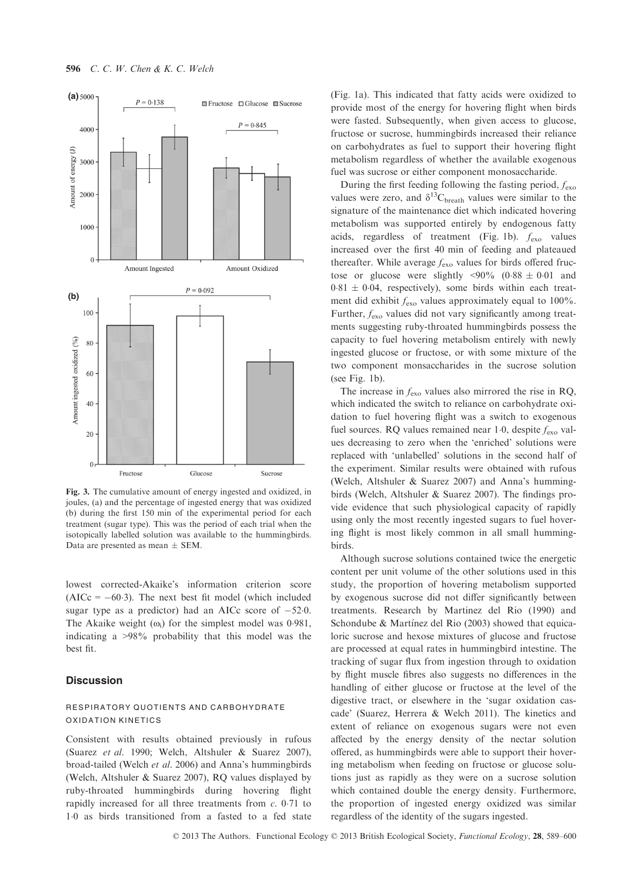

Fig. 3. The cumulative amount of energy ingested and oxidized, in joules, (a) and the percentage of ingested energy that was oxidized (b) during the first 150 min of the experimental period for each treatment (sugar type). This was the period of each trial when the isotopically labelled solution was available to the hummingbirds. Data are presented as mean  $\pm$  SEM.

lowest corrected-Akaike's information criterion score  $(AICc = -60.3)$ . The next best fit model (which included sugar type as a predictor) had an AICc score of  $-52.0$ . The Akaike weight  $(\omega_i)$  for the simplest model was 0.981, indicating a >98% probability that this model was the best fit.

## **Discussion**

# RESPIRATORY QUOTIENTS AND CARBOHYDRATE OXIDATION KINETICS

Consistent with results obtained previously in rufous (Suarez et al. 1990; Welch, Altshuler & Suarez 2007), broad-tailed (Welch et al. 2006) and Anna's hummingbirds (Welch, Altshuler & Suarez 2007), RQ values displayed by ruby-throated hummingbirds during hovering flight rapidly increased for all three treatments from  $c$ . 0.71 to <sup>1</sup>0 as birds transitioned from a fasted to a fed state (Fig. 1a). This indicated that fatty acids were oxidized to provide most of the energy for hovering flight when birds were fasted. Subsequently, when given access to glucose, fructose or sucrose, hummingbirds increased their reliance on carbohydrates as fuel to support their hovering flight metabolism regardless of whether the available exogenous fuel was sucrose or either component monosaccharide.

During the first feeding following the fasting period,  $f_{\text{exo}}$ values were zero, and  $\delta^{13}C_{breath}$  values were similar to the signature of the maintenance diet which indicated hovering metabolism was supported entirely by endogenous fatty acids, regardless of treatment (Fig. 1b). fexo values increased over the first 40 min of feeding and plateaued thereafter. While average  $f_{\text{exo}}$  values for birds offered fructose or glucose were slightly <90% (0.88  $\pm$  0.01 and  $0.81 \pm 0.04$ , respectively), some birds within each treatment did exhibit  $f_{\text{exo}}$  values approximately equal to 100%. Further,  $f_{\text{exo}}$  values did not vary significantly among treatments suggesting ruby-throated hummingbirds possess the capacity to fuel hovering metabolism entirely with newly ingested glucose or fructose, or with some mixture of the two component monsaccharides in the sucrose solution (see Fig. 1b).

The increase in  $f_{\text{exo}}$  values also mirrored the rise in RQ, which indicated the switch to reliance on carbohydrate oxidation to fuel hovering flight was a switch to exogenous fuel sources. RQ values remained near 1.0, despite  $f_{\text{exo}}$  values decreasing to zero when the 'enriched' solutions were replaced with 'unlabelled' solutions in the second half of the experiment. Similar results were obtained with rufous (Welch, Altshuler & Suarez 2007) and Anna's hummingbirds (Welch, Altshuler & Suarez 2007). The findings provide evidence that such physiological capacity of rapidly using only the most recently ingested sugars to fuel hovering flight is most likely common in all small hummingbirds.

Although sucrose solutions contained twice the energetic content per unit volume of the other solutions used in this study, the proportion of hovering metabolism supported by exogenous sucrose did not differ significantly between treatments. Research by Martinez del Rio (1990) and Schondube  $&$  Martínez del Rio (2003) showed that equicaloric sucrose and hexose mixtures of glucose and fructose are processed at equal rates in hummingbird intestine. The tracking of sugar flux from ingestion through to oxidation by flight muscle fibres also suggests no differences in the handling of either glucose or fructose at the level of the digestive tract, or elsewhere in the 'sugar oxidation cascade' (Suarez, Herrera & Welch 2011). The kinetics and extent of reliance on exogenous sugars were not even affected by the energy density of the nectar solution offered, as hummingbirds were able to support their hovering metabolism when feeding on fructose or glucose solutions just as rapidly as they were on a sucrose solution which contained double the energy density. Furthermore, the proportion of ingested energy oxidized was similar regardless of the identity of the sugars ingested.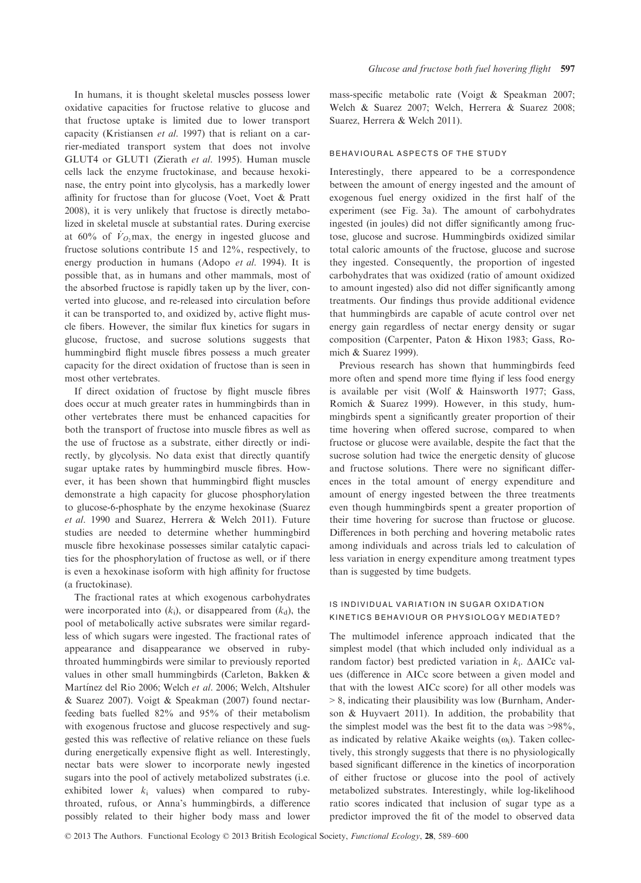In humans, it is thought skeletal muscles possess lower oxidative capacities for fructose relative to glucose and that fructose uptake is limited due to lower transport capacity (Kristiansen et al. 1997) that is reliant on a carrier-mediated transport system that does not involve GLUT4 or GLUT1 (Zierath et al. 1995). Human muscle cells lack the enzyme fructokinase, and because hexokinase, the entry point into glycolysis, has a markedly lower affinity for fructose than for glucose (Voet, Voet & Pratt 2008), it is very unlikely that fructose is directly metabolized in skeletal muscle at substantial rates. During exercise at 60% of  $\dot{V}_{O_2}$  max, the energy in ingested glucose and fructose solutions contribute 15 and 12%, respectively, to energy production in humans (Adopo et al. 1994). It is possible that, as in humans and other mammals, most of the absorbed fructose is rapidly taken up by the liver, converted into glucose, and re-released into circulation before it can be transported to, and oxidized by, active flight muscle fibers. However, the similar flux kinetics for sugars in glucose, fructose, and sucrose solutions suggests that hummingbird flight muscle fibres possess a much greater capacity for the direct oxidation of fructose than is seen in most other vertebrates.

If direct oxidation of fructose by flight muscle fibres does occur at much greater rates in hummingbirds than in other vertebrates there must be enhanced capacities for both the transport of fructose into muscle fibres as well as the use of fructose as a substrate, either directly or indirectly, by glycolysis. No data exist that directly quantify sugar uptake rates by hummingbird muscle fibres. However, it has been shown that hummingbird flight muscles demonstrate a high capacity for glucose phosphorylation to glucose-6-phosphate by the enzyme hexokinase (Suarez et al. 1990 and Suarez, Herrera & Welch 2011). Future studies are needed to determine whether hummingbird muscle fibre hexokinase possesses similar catalytic capacities for the phosphorylation of fructose as well, or if there is even a hexokinase isoform with high affinity for fructose (a fructokinase).

The fractional rates at which exogenous carbohydrates were incorporated into  $(k_i)$ , or disappeared from  $(k_d)$ , the pool of metabolically active subsrates were similar regardless of which sugars were ingested. The fractional rates of appearance and disappearance we observed in rubythroated hummingbirds were similar to previously reported values in other small hummingbirds (Carleton, Bakken & Martínez del Rio 2006; Welch et al. 2006; Welch, Altshuler & Suarez 2007). Voigt & Speakman (2007) found nectarfeeding bats fuelled 82% and 95% of their metabolism with exogenous fructose and glucose respectively and suggested this was reflective of relative reliance on these fuels during energetically expensive flight as well. Interestingly, nectar bats were slower to incorporate newly ingested sugars into the pool of actively metabolized substrates (i.e. exhibited lower  $k_i$  values) when compared to rubythroated, rufous, or Anna's hummingbirds, a difference possibly related to their higher body mass and lower

mass-specific metabolic rate (Voigt & Speakman 2007; Welch & Suarez 2007; Welch, Herrera & Suarez 2008; Suarez, Herrera & Welch 2011).

# BEHAVIOURAL ASPECTS OF THE STUDY

Interestingly, there appeared to be a correspondence between the amount of energy ingested and the amount of exogenous fuel energy oxidized in the first half of the experiment (see Fig. 3a). The amount of carbohydrates ingested (in joules) did not differ significantly among fructose, glucose and sucrose. Hummingbirds oxidized similar total caloric amounts of the fructose, glucose and sucrose they ingested. Consequently, the proportion of ingested carbohydrates that was oxidized (ratio of amount oxidized to amount ingested) also did not differ significantly among treatments. Our findings thus provide additional evidence that hummingbirds are capable of acute control over net energy gain regardless of nectar energy density or sugar composition (Carpenter, Paton & Hixon 1983; Gass, Romich & Suarez 1999).

Previous research has shown that hummingbirds feed more often and spend more time flying if less food energy is available per visit (Wolf & Hainsworth 1977; Gass, Romich & Suarez 1999). However, in this study, hummingbirds spent a significantly greater proportion of their time hovering when offered sucrose, compared to when fructose or glucose were available, despite the fact that the sucrose solution had twice the energetic density of glucose and fructose solutions. There were no significant differences in the total amount of energy expenditure and amount of energy ingested between the three treatments even though hummingbirds spent a greater proportion of their time hovering for sucrose than fructose or glucose. Differences in both perching and hovering metabolic rates among individuals and across trials led to calculation of less variation in energy expenditure among treatment types than is suggested by time budgets.

# IS INDIVIDUAL VARIATION IN SUGAR OXIDATION KINETICS BEHAVIOUR OR PHYSIOLOGY MEDIATED?

The multimodel inference approach indicated that the simplest model (that which included only individual as a random factor) best predicted variation in  $k_i$ .  $\Delta AICc$  values (difference in AICc score between a given model and that with the lowest AICc score) for all other models was > 8, indicating their plausibility was low (Burnham, Anderson & Huyvaert 2011). In addition, the probability that the simplest model was the best fit to the data was >98%, as indicated by relative Akaike weights  $(\omega_i)$ . Taken collectively, this strongly suggests that there is no physiologically based significant difference in the kinetics of incorporation of either fructose or glucose into the pool of actively metabolized substrates. Interestingly, while log-likelihood ratio scores indicated that inclusion of sugar type as a predictor improved the fit of the model to observed data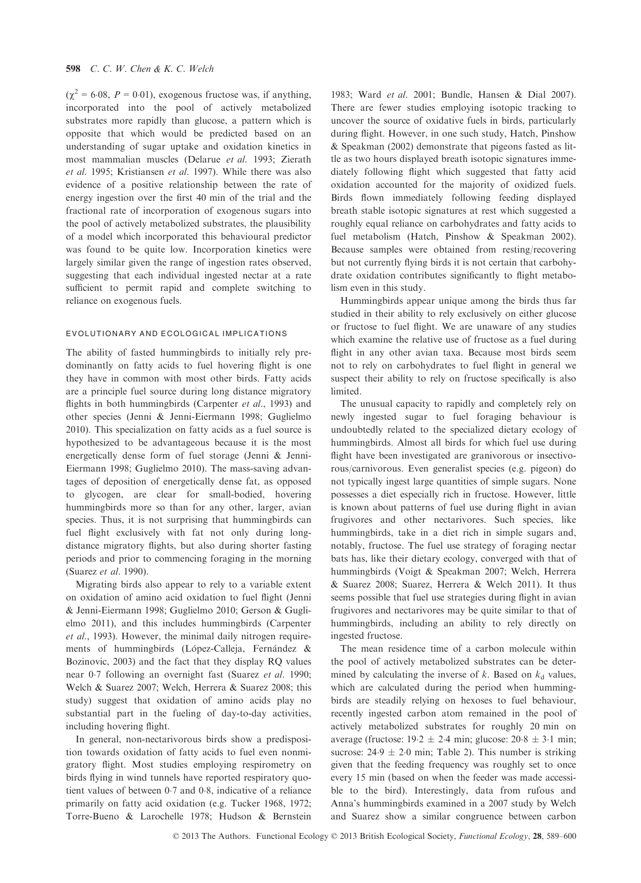$(\gamma^2 = 6.08, P = 0.01)$ , exogenous fructose was, if anything, incorporated into the pool of actively metabolized substrates more rapidly than glucose, a pattern which is opposite that which would be predicted based on an understanding of sugar uptake and oxidation kinetics in most mammalian muscles (Delarue et al. 1993; Zierath et al. 1995; Kristiansen et al. 1997). While there was also evidence of a positive relationship between the rate of energy ingestion over the first 40 min of the trial and the fractional rate of incorporation of exogenous sugars into the pool of actively metabolized substrates, the plausibility of a model which incorporated this behavioural predictor was found to be quite low. Incorporation kinetics were largely similar given the range of ingestion rates observed, suggesting that each individual ingested nectar at a rate sufficient to permit rapid and complete switching to reliance on exogenous fuels.

#### EVOLUTIONARY AND ECOLOGICAL IMPLICATIONS

The ability of fasted hummingbirds to initially rely predominantly on fatty acids to fuel hovering flight is one they have in common with most other birds. Fatty acids are a principle fuel source during long distance migratory flights in both hummingbirds (Carpenter et al., 1993) and other species (Jenni & Jenni-Eiermann 1998; Guglielmo 2010). This specialization on fatty acids as a fuel source is hypothesized to be advantageous because it is the most energetically dense form of fuel storage (Jenni & Jenni-Eiermann 1998; Guglielmo 2010). The mass-saving advantages of deposition of energetically dense fat, as opposed to glycogen, are clear for small-bodied, hovering hummingbirds more so than for any other, larger, avian species. Thus, it is not surprising that hummingbirds can fuel flight exclusively with fat not only during longdistance migratory flights, but also during shorter fasting periods and prior to commencing foraging in the morning (Suarez et al. 1990).

Migrating birds also appear to rely to a variable extent on oxidation of amino acid oxidation to fuel flight (Jenni & Jenni-Eiermann 1998; Guglielmo 2010; Gerson & Guglielmo 2011), and this includes hummingbirds (Carpenter et al., 1993). However, the minimal daily nitrogen requirements of hummingbirds (López-Calleja, Fernández & Bozinovic, 2003) and the fact that they display RQ values near 0.7 following an overnight fast (Suarez et al. 1990; Welch & Suarez 2007; Welch, Herrera & Suarez 2008; this study) suggest that oxidation of amino acids play no substantial part in the fueling of day-to-day activities, including hovering flight.

In general, non-nectarivorous birds show a predisposition towards oxidation of fatty acids to fuel even nonmigratory flight. Most studies employing respirometry on birds flying in wind tunnels have reported respiratory quotient values of between 07 and 08, indicative of a reliance primarily on fatty acid oxidation (e.g. Tucker 1968, 1972; Torre-Bueno & Larochelle 1978; Hudson & Bernstein 1983; Ward et al. 2001; Bundle, Hansen & Dial 2007). There are fewer studies employing isotopic tracking to uncover the source of oxidative fuels in birds, particularly during flight. However, in one such study, Hatch, Pinshow & Speakman (2002) demonstrate that pigeons fasted as little as two hours displayed breath isotopic signatures immediately following flight which suggested that fatty acid oxidation accounted for the majority of oxidized fuels. Birds flown immediately following feeding displayed breath stable isotopic signatures at rest which suggested a roughly equal reliance on carbohydrates and fatty acids to fuel metabolism (Hatch, Pinshow & Speakman 2002). Because samples were obtained from resting/recovering but not currently flying birds it is not certain that carbohydrate oxidation contributes significantly to flight metabolism even in this study.

Hummingbirds appear unique among the birds thus far studied in their ability to rely exclusively on either glucose or fructose to fuel flight. We are unaware of any studies which examine the relative use of fructose as a fuel during flight in any other avian taxa. Because most birds seem not to rely on carbohydrates to fuel flight in general we suspect their ability to rely on fructose specifically is also limited.

The unusual capacity to rapidly and completely rely on newly ingested sugar to fuel foraging behaviour is undoubtedly related to the specialized dietary ecology of hummingbirds. Almost all birds for which fuel use during flight have been investigated are granivorous or insectivorous/carnivorous. Even generalist species (e.g. pigeon) do not typically ingest large quantities of simple sugars. None possesses a diet especially rich in fructose. However, little is known about patterns of fuel use during flight in avian frugivores and other nectarivores. Such species, like hummingbirds, take in a diet rich in simple sugars and, notably, fructose. The fuel use strategy of foraging nectar bats has, like their dietary ecology, converged with that of hummingbirds (Voigt & Speakman 2007; Welch, Herrera & Suarez 2008; Suarez, Herrera & Welch 2011). It thus seems possible that fuel use strategies during flight in avian frugivores and nectarivores may be quite similar to that of hummingbirds, including an ability to rely directly on ingested fructose.

The mean residence time of a carbon molecule within the pool of actively metabolized substrates can be determined by calculating the inverse of  $k$ . Based on  $k_d$  values, which are calculated during the period when hummingbirds are steadily relying on hexoses to fuel behaviour, recently ingested carbon atom remained in the pool of actively metabolized substrates for roughly 20 min on average (fructose:  $19.2 \pm 2.4$  min; glucose:  $20.8 \pm 3.1$  min; sucrose:  $24.9 \pm 2.0$  min; Table 2). This number is striking given that the feeding frequency was roughly set to once every 15 min (based on when the feeder was made accessible to the bird). Interestingly, data from rufous and Anna's hummingbirds examined in a 2007 study by Welch and Suarez show a similar congruence between carbon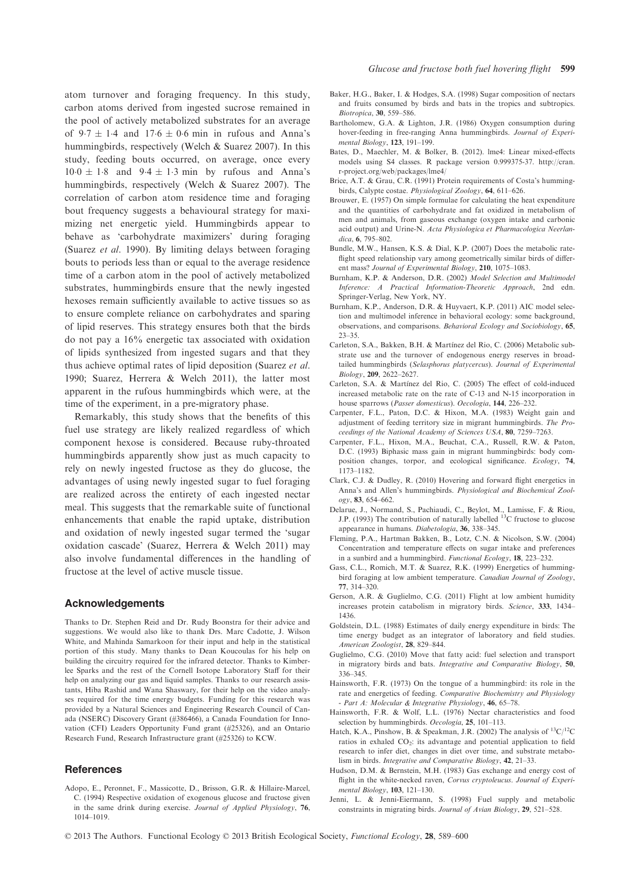atom turnover and foraging frequency. In this study, carbon atoms derived from ingested sucrose remained in the pool of actively metabolized substrates for an average of  $9.7 \pm 1.4$  and  $17.6 \pm 0.6$  min in rufous and Anna's hummingbirds, respectively (Welch & Suarez 2007). In this study, feeding bouts occurred, on average, once every  $10.0 \pm 1.8$  and  $9.4 \pm 1.3$  min by rufous and Anna's hummingbirds, respectively (Welch & Suarez 2007). The correlation of carbon atom residence time and foraging bout frequency suggests a behavioural strategy for maximizing net energetic yield. Hummingbirds appear to behave as 'carbohydrate maximizers' during foraging (Suarez et al. 1990). By limiting delays between foraging bouts to periods less than or equal to the average residence time of a carbon atom in the pool of actively metabolized substrates, hummingbirds ensure that the newly ingested hexoses remain sufficiently available to active tissues so as to ensure complete reliance on carbohydrates and sparing of lipid reserves. This strategy ensures both that the birds do not pay a 16% energetic tax associated with oxidation of lipids synthesized from ingested sugars and that they thus achieve optimal rates of lipid deposition (Suarez et al. 1990; Suarez, Herrera & Welch 2011), the latter most apparent in the rufous hummingbirds which were, at the time of the experiment, in a pre-migratory phase.

Remarkably, this study shows that the benefits of this fuel use strategy are likely realized regardless of which component hexose is considered. Because ruby-throated hummingbirds apparently show just as much capacity to rely on newly ingested fructose as they do glucose, the advantages of using newly ingested sugar to fuel foraging are realized across the entirety of each ingested nectar meal. This suggests that the remarkable suite of functional enhancements that enable the rapid uptake, distribution and oxidation of newly ingested sugar termed the 'sugar oxidation cascade' (Suarez, Herrera & Welch 2011) may also involve fundamental differences in the handling of fructose at the level of active muscle tissue.

#### Acknowledgements

Thanks to Dr. Stephen Reid and Dr. Rudy Boonstra for their advice and suggestions. We would also like to thank Drs. Marc Cadotte, J. Wilson White, and Mahinda Samarkoon for their input and help in the statistical portion of this study. Many thanks to Dean Koucoulas for his help on building the circuitry required for the infrared detector. Thanks to Kimberlee Sparks and the rest of the Cornell Isotope Laboratory Staff for their help on analyzing our gas and liquid samples. Thanks to our research assistants, Hiba Rashid and Wana Shaswary, for their help on the video analyses required for the time energy budgets. Funding for this research was provided by a Natural Sciences and Engineering Research Council of Canada (NSERC) Discovery Grant (#386466), a Canada Foundation for Innovation (CFI) Leaders Opportunity Fund grant (#25326), and an Ontario Research Fund, Research Infrastructure grant (#25326) to KCW.

Adopo, E., Peronnet, F., Massicotte, D., Brisson, G.R. & Hillaire-Marcel,

#### **References**

Glucose and fructose both fuel hovering flight 599

- Baker, H.G., Baker, I. & Hodges, S.A. (1998) Sugar composition of nectars and fruits consumed by birds and bats in the tropics and subtropics. Biotropica, 30, 559–586. Bartholomew, G.A. & Lighton, J.R. (1986) Oxygen consumption during
- hover-feeding in free-ranging Anna hummingbirds. Journal of Experimental Biology, 123, 191–199.
- Bates, D., Maechler, M. & Bolker, B. (2012). lme4: Linear mixed-effects models using S4 classes. R package version 0.999375-37. http://cran. r-project.org/web/packages/lme4/
- Brice, A.T. & Grau, C.R. (1991) Protein requirements of Costa's hummingbirds, Calypte costae. Physiological Zoology, 64, 611–626.
- Brouwer, E. (1957) On simple formulae for calculating the heat expenditure and the quantities of carbohydrate and fat oxidized in metabolism of men and animals, from gaseous exchange (oxygen intake and carbonic acid output) and Urine-N. Acta Physiologica et Pharmacologica Neerlandica, **6**, 795–802.
- Bundle, M.W., Hansen, K.S. & Dial, K.P. (2007) Does the metabolic rateflight speed relationship vary among geometrically similar birds of different mass? Journal of Experimental Biology, 210, 1075–1083.
- Burnham, K.P. & Anderson, D.R. (2002) Model Selection and Multimodel Inference: A Practical Information-Theoretic Approach, 2nd edn. Springer-Verlag, New York, NY.
- Burnham, K.P., Anderson, D.R. & Huyvaert, K.P. (2011) AIC model selection and multimodel inference in behavioral ecology: some background, observations, and comparisons. Behavioral Ecology and Sociobiology, 65, 23–35.
- Carleton, S.A., Bakken, B.H. & Martínez del Rio, C. (2006) Metabolic substrate use and the turnover of endogenous energy reserves in broadtailed hummingbirds (Selasphorus platycercus). Journal of Experimental Biology, 209, 2622–2627.
- Carleton, S.A. & Martínez del Rio, C. (2005) The effect of cold-induced increased metabolic rate on the rate of C-13 and N-15 incorporation in house sparrows (Passer domesticus). Oecologia, 144, 226–232.
- Carpenter, F.L., Paton, D.C. & Hixon, M.A. (1983) Weight gain and adjustment of feeding territory size in migrant hummingbirds. The Proceedings of the National Academy of Sciences USA, 80, 7259–7263.
- Carpenter, F.L., Hixon, M.A., Beuchat, C.A., Russell, R.W. & Paton, D.C. (1993) Biphasic mass gain in migrant hummingbirds: body composition changes, torpor, and ecological significance. Ecology, 74, 1173–1182.
- Clark, C.J. & Dudley, R. (2010) Hovering and forward flight energetics in Anna's and Allen's hummingbirds. Physiological and Biochemical Zoology, 83, 654–662.
- Delarue, J., Normand, S., Pachiaudi, C., Beylot, M., Lamisse, F. & Riou, J.P. (1993) The contribution of naturally labelled  $^{13}$ C fructose to glucose appearance in humans. Diabetologia, 36, 338–345.
- Fleming, P.A., Hartman Bakken, B., Lotz, C.N. & Nicolson, S.W. (2004) Concentration and temperature effects on sugar intake and preferences in a sunbird and a hummingbird. Functional Ecology, 18, 223–232.
- Gass, C.L., Romich, M.T. & Suarez, R.K. (1999) Energetics of hummingbird foraging at low ambient temperature. Canadian Journal of Zoology, 77, 314–320.
- Gerson, A.R. & Guglielmo, C.G. (2011) Flight at low ambient humidity increases protein catabolism in migratory birds. Science, 333, 1434– 1436.
- Goldstein, D.L. (1988) Estimates of daily energy expenditure in birds: The time energy budget as an integrator of laboratory and field studies. American Zoologist, 28, 829–844.
- Guglielmo, C.G. (2010) Move that fatty acid: fuel selection and transport in migratory birds and bats. Integrative and Comparative Biology, 50, 336–345.
- Hainsworth, F.R. (1973) On the tongue of a hummingbird: its role in the rate and energetics of feeding. Comparative Biochemistry and Physiology - Part A: Molecular & Integrative Physiology, 46, 65-78.
- Hainsworth, F.R. & Wolf, L.L. (1976) Nectar characteristics and food selection by hummingbirds. Oecologia, 25, 101-113.
- Hatch, K.A., Pinshow, B. & Speakman, J.R. (2002) The analysis of  ${}^{13}C/{}^{12}C$ ratios in exhaled CO2: its advantage and potential application to field research to infer diet, changes in diet over time, and substrate metabolism in birds. Integrative and Comparative Biology, 42, 21–33.
- Hudson, D.M. & Bernstein, M.H. (1983) Gas exchange and energy cost of flight in the white-necked raven, Corvus cryptoleucus. Journal of Experimental Biology, 103, 121–130.
- C. (1994) Respective oxidation of exogenous glucose and fructose given Jenni, L. & Jenni-Eiermann, S. (1998) Fuel supply and metabolic constraints in migrating birds. Journal of Avian Biology, 29, 521–528.